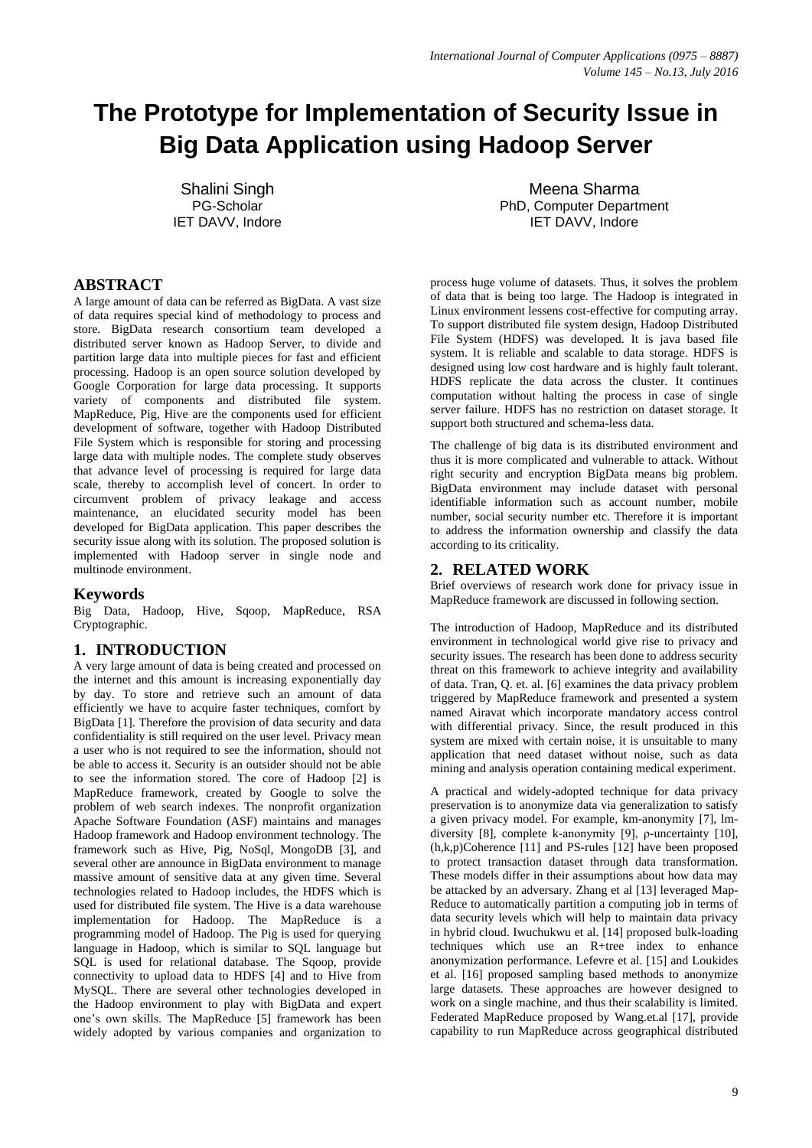# **The Prototype for Implementation of Security Issue in Big Data Application using Hadoop Server**

Shalini Singh PG-Scholar IET DAVV, Indore

# **ABSTRACT**

A large amount of data can be referred as BigData. A vast size of data requires special kind of methodology to process and store. BigData research consortium team developed a distributed server known as Hadoop Server, to divide and partition large data into multiple pieces for fast and efficient processing. Hadoop is an open source solution developed by Google Corporation for large data processing. It supports variety of components and distributed file system. MapReduce, Pig, Hive are the components used for efficient development of software, together with Hadoop Distributed File System which is responsible for storing and processing large data with multiple nodes. The complete study observes that advance level of processing is required for large data scale, thereby to accomplish level of concert. In order to circumvent problem of privacy leakage and access maintenance, an elucidated security model has been developed for BigData application. This paper describes the security issue along with its solution. The proposed solution is implemented with Hadoop server in single node and multinode environment.

# **Keywords**

Big Data, Hadoop, Hive, Sqoop, MapReduce, RSA Cryptographic.

# **1. INTRODUCTION**

A very large amount of data is being created and processed on the internet and this amount is increasing exponentially day by day. To store and retrieve such an amount of data efficiently we have to acquire faster techniques, comfort by BigData [1]. Therefore the provision of data security and data confidentiality is still required on the user level. Privacy mean a user who is not required to see the information, should not be able to access it. Security is an outsider should not be able to see the information stored. The core of Hadoop [2] is MapReduce framework, created by Google to solve the problem of web search indexes. The nonprofit organization Apache Software Foundation (ASF) maintains and manages Hadoop framework and Hadoop environment technology. The framework such as Hive, Pig, NoSql, MongoDB [3], and several other are announce in BigData environment to manage massive amount of sensitive data at any given time. Several technologies related to Hadoop includes, the HDFS which is used for distributed file system. The Hive is a data warehouse implementation for Hadoop. The MapReduce is a programming model of Hadoop. The Pig is used for querying language in Hadoop, which is similar to SQL language but SQL is used for relational database. The Sqoop, provide connectivity to upload data to HDFS [4] and to Hive from MySQL. There are several other technologies developed in the Hadoop environment to play with BigData and expert one's own skills. The MapReduce [5] framework has been widely adopted by various companies and organization to

Meena Sharma PhD, Computer Department IET DAVV, Indore

process huge volume of datasets. Thus, it solves the problem of data that is being too large. The Hadoop is integrated in Linux environment lessens cost-effective for computing array. To support distributed file system design, Hadoop Distributed File System (HDFS) was developed. It is java based file system. It is reliable and scalable to data storage. HDFS is designed using low cost hardware and is highly fault tolerant. HDFS replicate the data across the cluster. It continues computation without halting the process in case of single server failure. HDFS has no restriction on dataset storage. It support both structured and schema-less data.

The challenge of big data is its distributed environment and thus it is more complicated and vulnerable to attack. Without right security and encryption BigData means big problem. BigData environment may include dataset with personal identifiable information such as account number, mobile number, social security number etc. Therefore it is important to address the information ownership and classify the data according to its criticality.

# **2. RELATED WORK**

Brief overviews of research work done for privacy issue in MapReduce framework are discussed in following section.

The introduction of Hadoop, MapReduce and its distributed environment in technological world give rise to privacy and security issues. The research has been done to address security threat on this framework to achieve integrity and availability of data. Tran, Q. et. al. [6] examines the data privacy problem triggered by MapReduce framework and presented a system named Airavat which incorporate mandatory access control with differential privacy. Since, the result produced in this system are mixed with certain noise, it is unsuitable to many application that need dataset without noise, such as data mining and analysis operation containing medical experiment.

A practical and widely-adopted technique for data privacy preservation is to anonymize data via generalization to satisfy a given privacy model. For example, km-anonymity [7], lmdiversity [8], complete k-anonymity [9], ρ-uncertainty [10], (h,k,p)Coherence [11] and PS-rules [12] have been proposed to protect transaction dataset through data transformation. These models differ in their assumptions about how data may be attacked by an adversary. Zhang et al [13] leveraged Map-Reduce to automatically partition a computing job in terms of data security levels which will help to maintain data privacy in hybrid cloud. Iwuchukwu et al. [14] proposed bulk-loading techniques which use an R+tree index to enhance anonymization performance. Lefevre et al. [15] and Loukides et al. [16] proposed sampling based methods to anonymize large datasets. These approaches are however designed to work on a single machine, and thus their scalability is limited. Federated MapReduce proposed by Wang.et.al [17], provide capability to run MapReduce across geographical distributed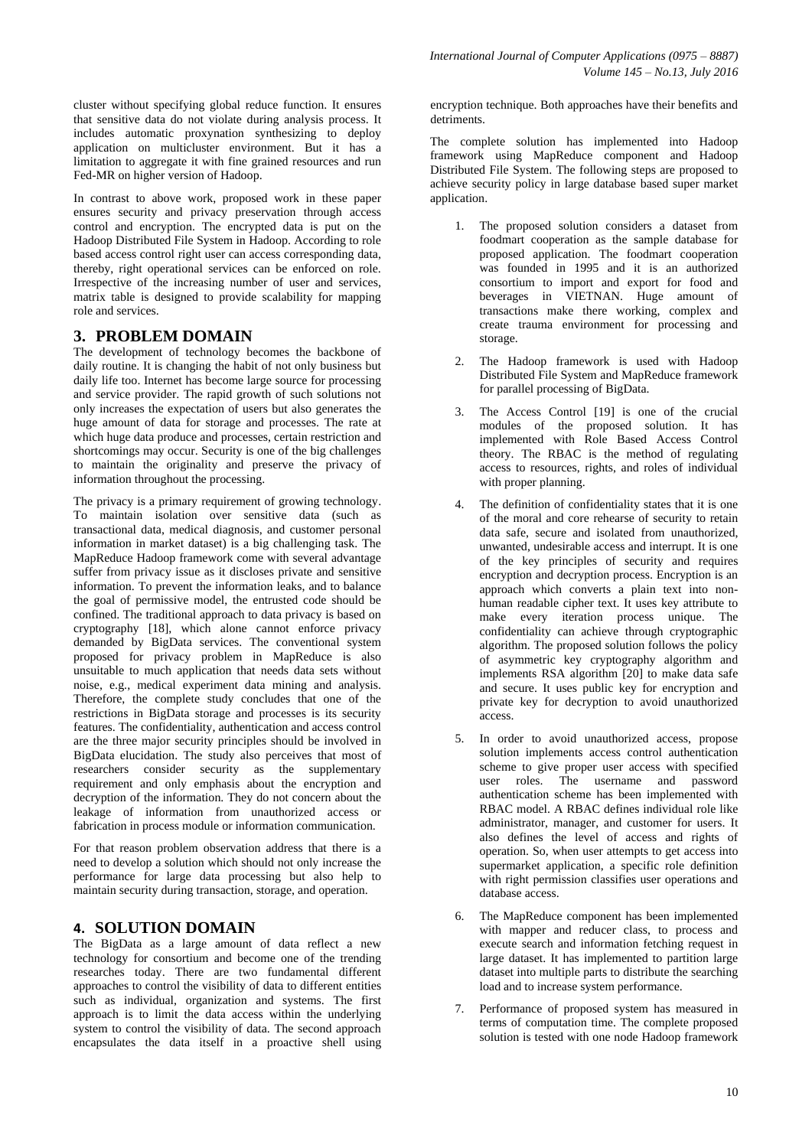cluster without specifying global reduce function. It ensures that sensitive data do not violate during analysis process. It includes automatic proxynation synthesizing to deploy application on multicluster environment. But it has a limitation to aggregate it with fine grained resources and run Fed-MR on higher version of Hadoop.

In contrast to above work, proposed work in these paper ensures security and privacy preservation through access control and encryption. The encrypted data is put on the Hadoop Distributed File System in Hadoop. According to role based access control right user can access corresponding data, thereby, right operational services can be enforced on role. Irrespective of the increasing number of user and services, matrix table is designed to provide scalability for mapping role and services.

# **3. PROBLEM DOMAIN**

The development of technology becomes the backbone of daily routine. It is changing the habit of not only business but daily life too. Internet has become large source for processing and service provider. The rapid growth of such solutions not only increases the expectation of users but also generates the huge amount of data for storage and processes. The rate at which huge data produce and processes, certain restriction and shortcomings may occur. Security is one of the big challenges to maintain the originality and preserve the privacy of information throughout the processing.

The privacy is a primary requirement of growing technology. To maintain isolation over sensitive data (such as transactional data, medical diagnosis, and customer personal information in market dataset) is a big challenging task. The MapReduce Hadoop framework come with several advantage suffer from privacy issue as it discloses private and sensitive information. To prevent the information leaks, and to balance the goal of permissive model, the entrusted code should be confined. The traditional approach to data privacy is based on cryptography [18], which alone cannot enforce privacy demanded by BigData services. The conventional system proposed for privacy problem in MapReduce is also unsuitable to much application that needs data sets without noise, e.g., medical experiment data mining and analysis. Therefore, the complete study concludes that one of the restrictions in BigData storage and processes is its security features. The confidentiality, authentication and access control are the three major security principles should be involved in BigData elucidation. The study also perceives that most of researchers consider security as the supplementary requirement and only emphasis about the encryption and decryption of the information. They do not concern about the leakage of information from unauthorized access or fabrication in process module or information communication.

For that reason problem observation address that there is a need to develop a solution which should not only increase the performance for large data processing but also help to maintain security during transaction, storage, and operation.

# **4. SOLUTION DOMAIN**

The BigData as a large amount of data reflect a new technology for consortium and become one of the trending researches today. There are two fundamental different approaches to control the visibility of data to different entities such as individual, organization and systems. The first approach is to limit the data access within the underlying system to control the visibility of data. The second approach encapsulates the data itself in a proactive shell using encryption technique. Both approaches have their benefits and detriments.

The complete solution has implemented into Hadoop framework using MapReduce component and Hadoop Distributed File System. The following steps are proposed to achieve security policy in large database based super market application.

- 1. The proposed solution considers a dataset from foodmart cooperation as the sample database for proposed application. The foodmart cooperation was founded in 1995 and it is an authorized consortium to import and export for food and beverages in VIETNAN. Huge amount of transactions make there working, complex and create trauma environment for processing and storage.
- 2. The Hadoop framework is used with Hadoop Distributed File System and MapReduce framework for parallel processing of BigData.
- 3. The Access Control [19] is one of the crucial modules of the proposed solution. It has implemented with Role Based Access Control theory. The RBAC is the method of regulating access to resources, rights, and roles of individual with proper planning.
- 4. The definition of confidentiality states that it is one of the moral and core rehearse of security to retain data safe, secure and isolated from unauthorized, unwanted, undesirable access and interrupt. It is one of the key principles of security and requires encryption and decryption process. Encryption is an approach which converts a plain text into nonhuman readable cipher text. It uses key attribute to make every iteration process unique. The confidentiality can achieve through cryptographic algorithm. The proposed solution follows the policy of asymmetric key cryptography algorithm and implements RSA algorithm [20] to make data safe and secure. It uses public key for encryption and private key for decryption to avoid unauthorized access.
- 5. In order to avoid unauthorized access, propose solution implements access control authentication scheme to give proper user access with specified user roles. The username and password authentication scheme has been implemented with RBAC model. A RBAC defines individual role like administrator, manager, and customer for users. It also defines the level of access and rights of operation. So, when user attempts to get access into supermarket application, a specific role definition with right permission classifies user operations and database access.
- 6. The MapReduce component has been implemented with mapper and reducer class, to process and execute search and information fetching request in large dataset. It has implemented to partition large dataset into multiple parts to distribute the searching load and to increase system performance.
- 7. Performance of proposed system has measured in terms of computation time. The complete proposed solution is tested with one node Hadoop framework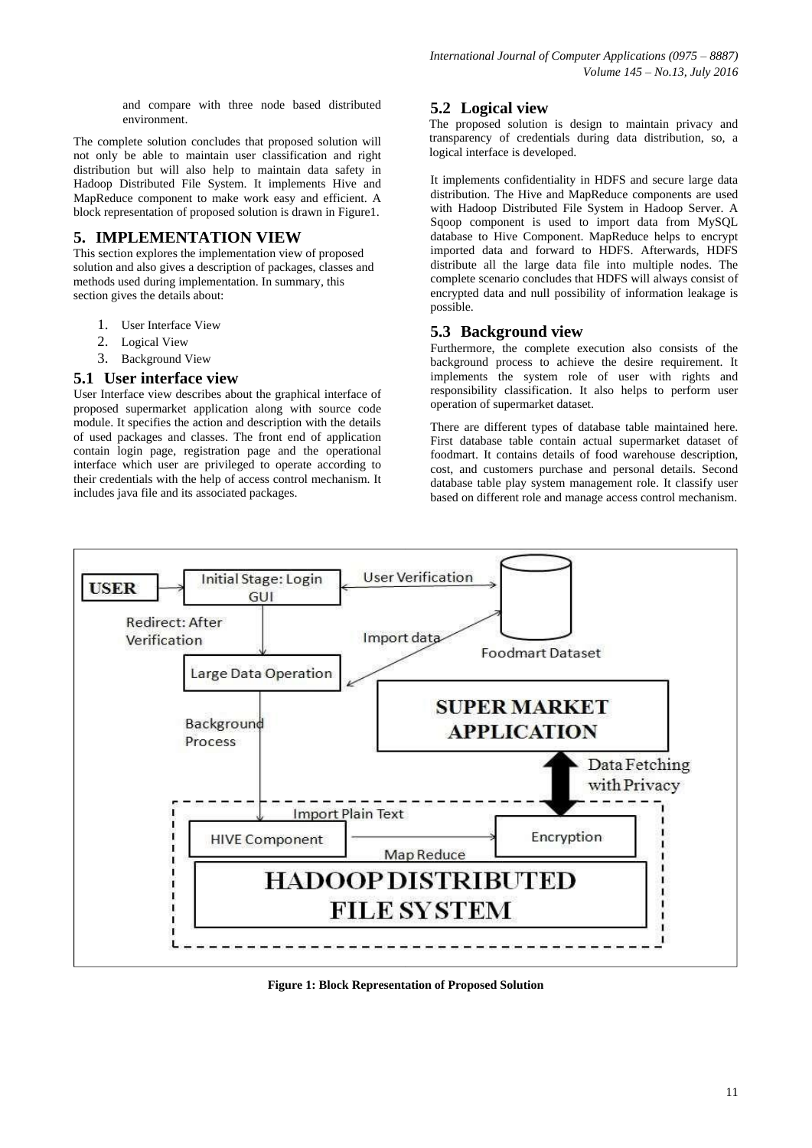and compare with three node based distributed environment.

The complete solution concludes that proposed solution will not only be able to maintain user classification and right distribution but will also help to maintain data safety in Hadoop Distributed File System. It implements Hive and MapReduce component to make work easy and efficient. A block representation of proposed solution is drawn in Figure1.

# **5. IMPLEMENTATION VIEW**

This section explores the implementation view of proposed solution and also gives a description of packages, classes and methods used during implementation. In summary, this section gives the details about:

- 1. User Interface View
- 2. Logical View
- 3. Background View

### **5.1 User interface view**

User Interface view describes about the graphical interface of proposed supermarket application along with source code module. It specifies the action and description with the details of used packages and classes. The front end of application contain login page, registration page and the operational interface which user are privileged to operate according to their credentials with the help of access control mechanism. It includes java file and its associated packages.

# **5.2 Logical view**

The proposed solution is design to maintain privacy and transparency of credentials during data distribution, so, a logical interface is developed.

It implements confidentiality in HDFS and secure large data distribution. The Hive and MapReduce components are used with Hadoop Distributed File System in Hadoop Server. A Sqoop component is used to import data from MySQL database to Hive Component. MapReduce helps to encrypt imported data and forward to HDFS. Afterwards, HDFS distribute all the large data file into multiple nodes. The complete scenario concludes that HDFS will always consist of encrypted data and null possibility of information leakage is possible.

# **5.3 Background view**

Furthermore, the complete execution also consists of the background process to achieve the desire requirement. It implements the system role of user with rights and responsibility classification. It also helps to perform user operation of supermarket dataset.

There are different types of database table maintained here. First database table contain actual supermarket dataset of foodmart. It contains details of food warehouse description, cost, and customers purchase and personal details. Second database table play system management role. It classify user based on different role and manage access control mechanism.



**Figure 1: Block Representation of Proposed Solution**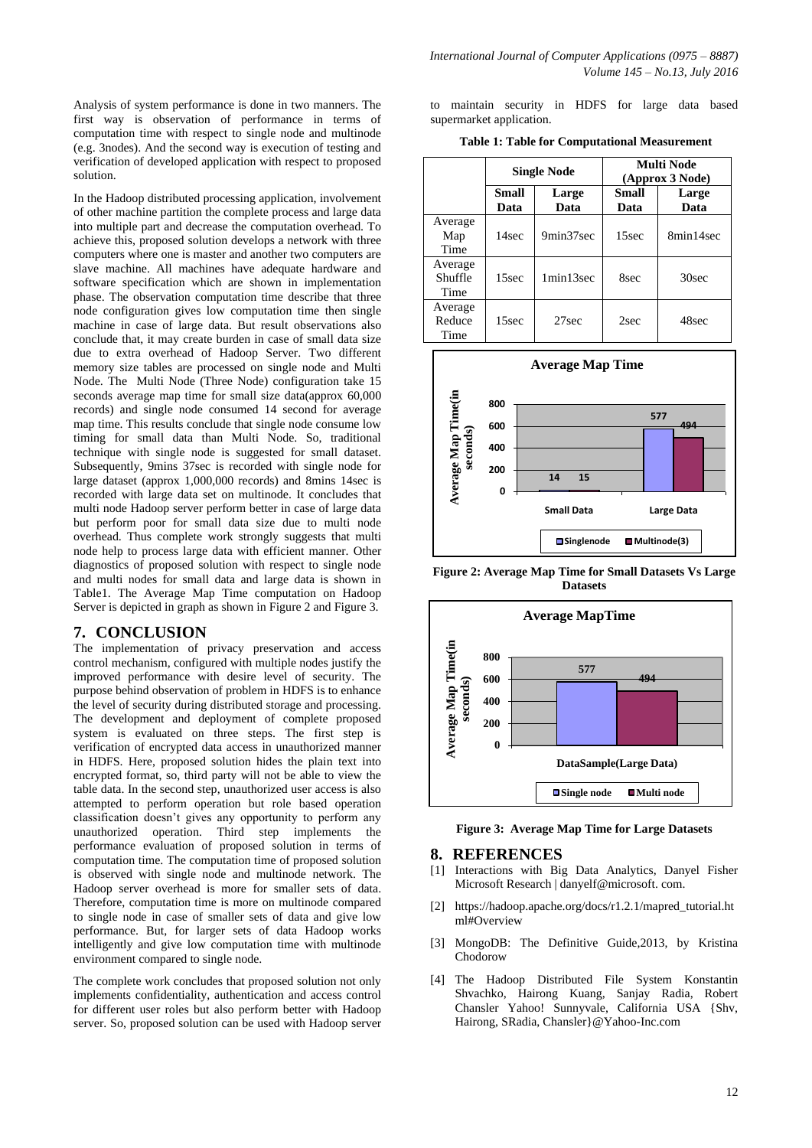Analysis of system performance is done in two manners. The first way is observation of performance in terms of computation time with respect to single node and multinode (e.g. 3nodes). And the second way is execution of testing and verification of developed application with respect to proposed solution.

In the Hadoop distributed processing application, involvement of other machine partition the complete process and large data into multiple part and decrease the computation overhead. To achieve this, proposed solution develops a network with three computers where one is master and another two computers are slave machine. All machines have adequate hardware and software specification which are shown in implementation phase. The observation computation time describe that three node configuration gives low computation time then single machine in case of large data. But result observations also conclude that, it may create burden in case of small data size due to extra overhead of Hadoop Server. Two different memory size tables are processed on single node and Multi Node. The Multi Node (Three Node) configuration take 15 seconds average map time for small size data(approx 60,000 records) and single node consumed 14 second for average map time. This results conclude that single node consume low timing for small data than Multi Node. So, traditional technique with single node is suggested for small dataset. Subsequently, 9mins 37sec is recorded with single node for large dataset (approx 1,000,000 records) and 8mins 14sec is recorded with large data set on multinode. It concludes that multi node Hadoop server perform better in case of large data but perform poor for small data size due to multi node overhead. Thus complete work strongly suggests that multi node help to process large data with efficient manner. Other diagnostics of proposed solution with respect to single node and multi nodes for small data and large data is shown in Table1. The Average Map Time computation on Hadoop Server is depicted in graph as shown in Figure 2 and Figure 3.

### **7. CONCLUSION**

The implementation of privacy preservation and access control mechanism, configured with multiple nodes justify the improved performance with desire level of security. The purpose behind observation of problem in HDFS is to enhance the level of security during distributed storage and processing. The development and deployment of complete proposed system is evaluated on three steps. The first step is verification of encrypted data access in unauthorized manner in HDFS. Here, proposed solution hides the plain text into encrypted format, so, third party will not be able to view the table data. In the second step, unauthorized user access is also attempted to perform operation but role based operation classification doesn't gives any opportunity to perform any unauthorized operation. Third step implements the performance evaluation of proposed solution in terms of computation time. The computation time of proposed solution is observed with single node and multinode network. The Hadoop server overhead is more for smaller sets of data. Therefore, computation time is more on multinode compared to single node in case of smaller sets of data and give low performance. But, for larger sets of data Hadoop works intelligently and give low computation time with multinode environment compared to single node.

The complete work concludes that proposed solution not only implements confidentiality, authentication and access control for different user roles but also perform better with Hadoop server. So, proposed solution can be used with Hadoop server to maintain security in HDFS for large data based supermarket application.

| <b>Table 1: Table for Computational Measurement</b> |  |  |
|-----------------------------------------------------|--|--|
|-----------------------------------------------------|--|--|

|                            | <b>Single Node</b> |               | Multi Node<br>(Approx 3 Node) |               |
|----------------------------|--------------------|---------------|-------------------------------|---------------|
|                            | Small<br>Data      | Large<br>Data | Small<br>Data                 | Large<br>Data |
| Average<br>Map<br>Time     | 14sec              | 9min37sec     | 15sec                         | 8min14sec     |
| Average<br>Shuffle<br>Time | 15sec              | 1min13sec     | 8sec                          | 30sec         |
| Average<br>Reduce<br>Time  | 15sec              | 27sec         | 2sec                          | 48sec         |



**Figure 2: Average Map Time for Small Datasets Vs Large Datasets**



**Figure 3: Average Map Time for Large Datasets**

#### **8. REFERENCES**

- [1] Interactions with Big Data Analytics, Danyel Fisher Microsoft Research | danyelf@microsoft. com.
- [2] https://hadoop.apache.org/docs/r1.2.1/mapred\_tutorial.ht ml#Overview
- [3] MongoDB: The Definitive Guide,2013, by Kristina Chodorow
- [4] The Hadoop Distributed File System Konstantin Shvachko, Hairong Kuang, Sanjay Radia, Robert Chansler Yahoo! Sunnyvale, California USA {Shv, Hairong, SRadia, Chansler}@Yahoo-Inc.com